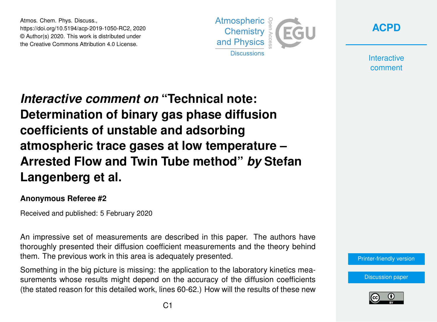Atmos. Chem. Phys. Discuss., https://doi.org/10.5194/acp-2019-1050-RC2, 2020 © Author(s) 2020. This work is distributed under the Creative Commons Attribution 4.0 License.



**[ACPD](https://www.atmos-chem-phys-discuss.net/)**

**Interactive** comment

*Interactive comment on* **"Technical note: Determination of binary gas phase diffusion coefficients of unstable and adsorbing atmospheric trace gases at low temperature – Arrested Flow and Twin Tube method"** *by* **Stefan Langenberg et al.**

## **Anonymous Referee #2**

Received and published: 5 February 2020

An impressive set of measurements are described in this paper. The authors have thoroughly presented their diffusion coefficient measurements and the theory behind them. The previous work in this area is adequately presented.

Something in the big picture is missing: the application to the laboratory kinetics measurements whose results might depend on the accuracy of the diffusion coefficients (the stated reason for this detailed work, lines 60-62.) How will the results of these new



[Discussion paper](https://www.atmos-chem-phys-discuss.net/acp-2019-1050)